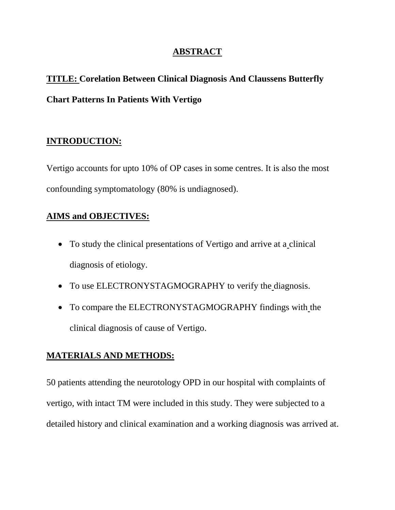#### **ABSTRACT**

# **TITLE: Corelation Between Clinical Diagnosis And Claussens Butterfly Chart Patterns In Patients With Vertigo**

## **INTRODUCTION:**

Vertigo accounts for upto 10% of OP cases in some centres. It is also the most confounding symptomatology (80% is undiagnosed).

## **AIMS and OBJECTIVES:**

- To study the clinical presentations of Vertigo and arrive at a clinical diagnosis of etiology.
- To use ELECTRONYSTAGMOGRAPHY to verify the diagnosis.
- To compare the ELECTRONYSTAGMOGRAPHY findings with the clinical diagnosis of cause of Vertigo.

## **MATERIALS AND METHODS:**

50 patients attending the neurotology OPD in our hospital with complaints of vertigo, with intact TM were included in this study. They were subjected to a detailed history and clinical examination and a working diagnosis was arrived at.